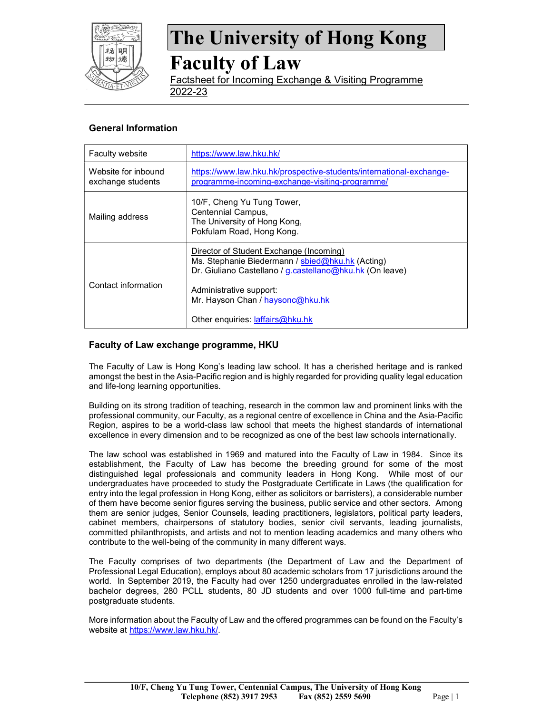

## Faculty of Law

Factsheet for Incoming Exchange & Visiting Programme 2022-23

### General Information

| <b>Faculty website</b>                   | https://www.law.hku.hk/                                                                                                                                                                                                                                    |
|------------------------------------------|------------------------------------------------------------------------------------------------------------------------------------------------------------------------------------------------------------------------------------------------------------|
| Website for inbound<br>exchange students | https://www.law.hku.hk/prospective-students/international-exchange-<br>programme-incoming-exchange-visiting-programme/                                                                                                                                     |
| Mailing address                          | 10/F, Cheng Yu Tung Tower,<br>Centennial Campus,<br>The University of Hong Kong,<br>Pokfulam Road, Hong Kong.                                                                                                                                              |
| Contact information                      | Director of Student Exchange (Incoming)<br>Ms. Stephanie Biedermann / sbied@hku.hk (Acting)<br>Dr. Giuliano Castellano / g.castellano@hku.hk (On leave)<br>Administrative support:<br>Mr. Hayson Chan / haysonc@hku.hk<br>Other enquiries: laffairs@hku.hk |

### Faculty of Law exchange programme, HKU

The Faculty of Law is Hong Kong's leading law school. It has a cherished heritage and is ranked amongst the best in the Asia-Pacific region and is highly regarded for providing quality legal education and life-long learning opportunities.

Building on its strong tradition of teaching, research in the common law and prominent links with the professional community, our Faculty, as a regional centre of excellence in China and the Asia-Pacific Region, aspires to be a world-class law school that meets the highest standards of international excellence in every dimension and to be recognized as one of the best law schools internationally.

The law school was established in 1969 and matured into the Faculty of Law in 1984. Since its establishment, the Faculty of Law has become the breeding ground for some of the most distinguished legal professionals and community leaders in Hong Kong. While most of our undergraduates have proceeded to study the Postgraduate Certificate in Laws (the qualification for entry into the legal profession in Hong Kong, either as solicitors or barristers), a considerable number of them have become senior figures serving the business, public service and other sectors. Among them are senior judges, Senior Counsels, leading practitioners, legislators, political party leaders, cabinet members, chairpersons of statutory bodies, senior civil servants, leading journalists, committed philanthropists, and artists and not to mention leading academics and many others who contribute to the well-being of the community in many different ways.

The Faculty comprises of two departments (the Department of Law and the Department of Professional Legal Education), employs about 80 academic scholars from 17 jurisdictions around the world. In September 2019, the Faculty had over 1250 undergraduates enrolled in the law-related bachelor degrees, 280 PCLL students, 80 JD students and over 1000 full-time and part-time postgraduate students.

More information about the Faculty of Law and the offered programmes can be found on the Faculty's website at https://www.law.hku.hk/.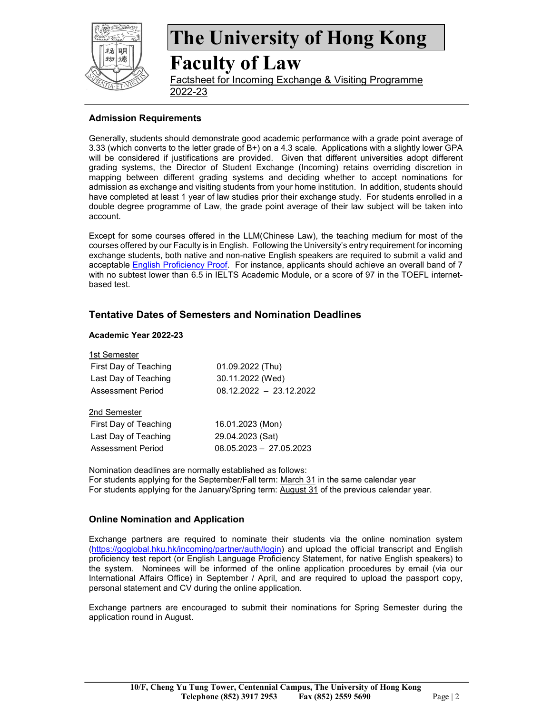

Faculty of Law

Factsheet for Incoming Exchange & Visiting Programme 2022-23

### Admission Requirements

Generally, students should demonstrate good academic performance with a grade point average of 3.33 (which converts to the letter grade of B+) on a 4.3 scale. Applications with a slightly lower GPA will be considered if justifications are provided. Given that different universities adopt different grading systems, the Director of Student Exchange (Incoming) retains overriding discretion in mapping between different grading systems and deciding whether to accept nominations for admission as exchange and visiting students from your home institution. In addition, students should have completed at least 1 year of law studies prior their exchange study. For students enrolled in a double degree programme of Law, the grade point average of their law subject will be taken into account.

Except for some courses offered in the LLM(Chinese Law), the teaching medium for most of the courses offered by our Faculty is in English. Following the University's entry requirement for incoming exchange students, both native and non-native English speakers are required to submit a valid and acceptable English Proficiency Proof. For instance, applicants should achieve an overall band of 7 with no subtest lower than 6.5 in IELTS Academic Module, or a score of 97 in the TOEFL internetbased test.

## Tentative Dates of Semesters and Nomination Deadlines

#### Academic Year 2022-23

| 1st Semester             |                           |
|--------------------------|---------------------------|
| First Day of Teaching    | 01.09.2022 (Thu)          |
| Last Day of Teaching     | 30.11.2022 (Wed)          |
| <b>Assessment Period</b> | $08.12.2022 - 23.12.2022$ |
| 2nd Semester             |                           |
| First Day of Teaching    | 16.01.2023 (Mon)          |
| Last Day of Teaching     | 29.04.2023 (Sat)          |
| <b>Assessment Period</b> | $08.05.2023 - 27.05.2023$ |

Nomination deadlines are normally established as follows: For students applying for the September/Fall term: March 31 in the same calendar year For students applying for the January/Spring term: August 31 of the previous calendar year.

### Online Nomination and Application

Exchange partners are required to nominate their students via the online nomination system (https://goglobal.hku.hk/incoming/partner/auth/login) and upload the official transcript and English proficiency test report (or English Language Proficiency Statement, for native English speakers) to the system. Nominees will be informed of the online application procedures by email (via our International Affairs Office) in September / April, and are required to upload the passport copy, personal statement and CV during the online application.

Exchange partners are encouraged to submit their nominations for Spring Semester during the application round in August.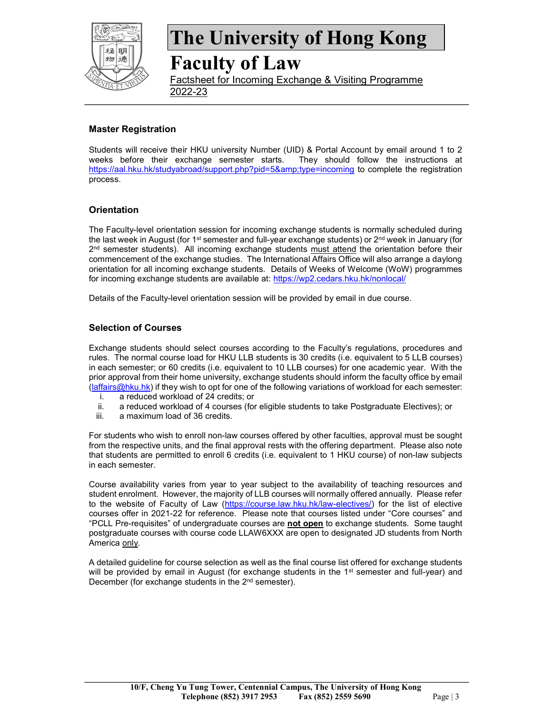

# Faculty of Law

Factsheet for Incoming Exchange & Visiting Programme 2022-23

## Master Registration

Students will receive their HKU university Number (UID) & Portal Account by email around 1 to 2 weeks before their exchange semester starts. They should follow the instructions at https://aal.hku.hk/studyabroad/support.php?pid=5&type=incoming to complete the registration process.

### **Orientation**

The Faculty-level orientation session for incoming exchange students is normally scheduled during the last week in August (for 1<sup>st</sup> semester and full-year exchange students) or  $2<sup>nd</sup>$  week in January (for 2<sup>nd</sup> semester students). All incoming exchange students must attend the orientation before their commencement of the exchange studies. The International Affairs Office will also arrange a daylong orientation for all incoming exchange students. Details of Weeks of Welcome (WoW) programmes for incoming exchange students are available at: https://wp2.cedars.hku.hk/nonlocal/

Details of the Faculty-level orientation session will be provided by email in due course.

### Selection of Courses

Exchange students should select courses according to the Faculty's regulations, procedures and rules. The normal course load for HKU LLB students is 30 credits (i.e. equivalent to 5 LLB courses) in each semester; or 60 credits (i.e. equivalent to 10 LLB courses) for one academic year. With the prior approval from their home university, exchange students should inform the faculty office by email (laffairs@hku.hk) if they wish to opt for one of the following variations of workload for each semester:

- i. a reduced workload of 24 credits; or
- ii. a reduced workload of 4 courses (for eligible students to take Postgraduate Electives); or
- iii. a maximum load of 36 credits.

For students who wish to enroll non-law courses offered by other faculties, approval must be sought from the respective units, and the final approval rests with the offering department. Please also note that students are permitted to enroll 6 credits (i.e. equivalent to 1 HKU course) of non-law subjects in each semester.

Course availability varies from year to year subject to the availability of teaching resources and student enrolment. However, the majority of LLB courses will normally offered annually. Please refer to the website of Faculty of Law (https://course.law.hku.hk/law-electives/) for the list of elective courses offer in 2021-22 for reference. Please note that courses listed under "Core courses" and "PCLL Pre-requisites" of undergraduate courses are not open to exchange students. Some taught postgraduate courses with course code LLAW6XXX are open to designated JD students from North America only.

A detailed guideline for course selection as well as the final course list offered for exchange students will be provided by email in August (for exchange students in the 1<sup>st</sup> semester and full-year) and December (for exchange students in the 2<sup>nd</sup> semester).